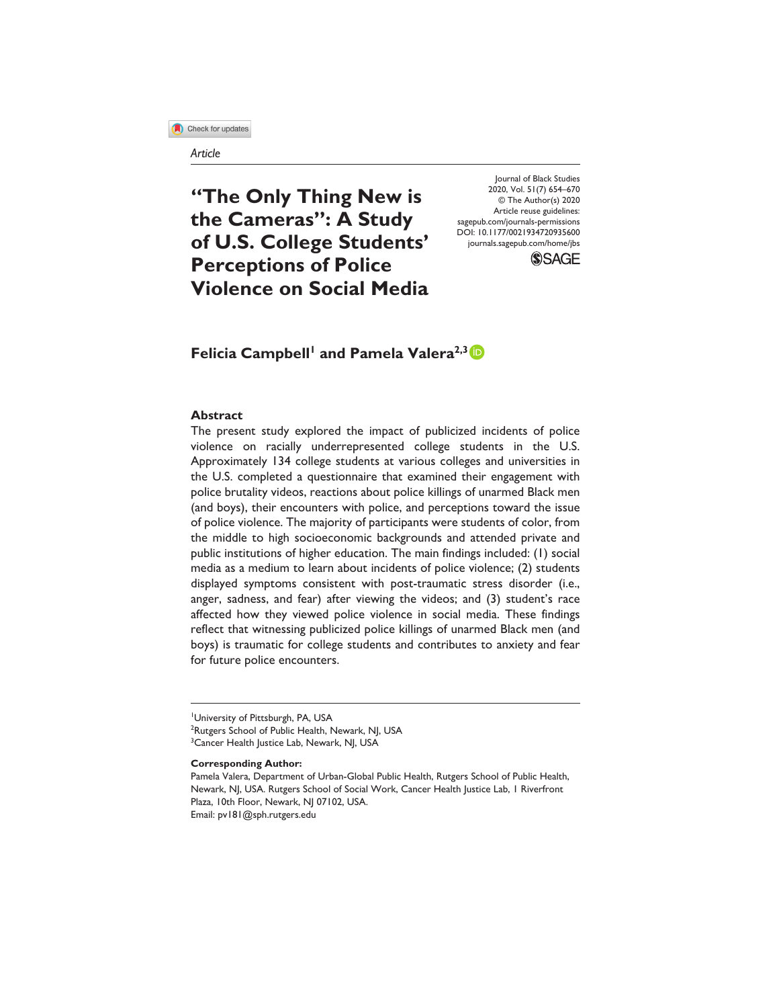**13** Check for updates

#### *Article*

**"The Only Thing New is the Cameras": A Study of U.S. College Students' Perceptions of Police Violence on Social Media** DOI: 10.1177/0021934720935600 Journal of Black Studies 2020, Vol. 51(7) 654–670 © The Author(s) 2020 Article reuse guidelines: [sagepub.com/journals-permissions](https://us.sagepub.com/en-us/journals-permissions) [journals.sagepub.com/home/jbs](https://journals.sagepub.com/home/jbs)



**Felicia Campbell<sup>1</sup> and Pamela Valera<sup>2,3</sup><sup>1</sup>** 

#### **Abstract**

The present study explored the impact of publicized incidents of police violence on racially underrepresented college students in the U.S. Approximately 134 college students at various colleges and universities in the U.S. completed a questionnaire that examined their engagement with police brutality videos, reactions about police killings of unarmed Black men (and boys), their encounters with police, and perceptions toward the issue of police violence. The majority of participants were students of color, from the middle to high socioeconomic backgrounds and attended private and public institutions of higher education. The main findings included: (1) social media as a medium to learn about incidents of police violence; (2) students displayed symptoms consistent with post-traumatic stress disorder (i.e., anger, sadness, and fear) after viewing the videos; and (3) student's race affected how they viewed police violence in social media. These findings reflect that witnessing publicized police killings of unarmed Black men (and boys) is traumatic for college students and contributes to anxiety and fear for future police encounters.

**Corresponding Author:**

University of Pittsburgh, PA, USA <sup>2</sup>Rutgers School of Public Health, Newark, NJ, USA <sup>3</sup> Cancer Health Justice Lab, Newark, NJ, USA

Pamela Valera, Department of Urban-Global Public Health, Rutgers School of Public Health, Newark, NJ, USA. Rutgers School of Social Work, Cancer Health Justice Lab, 1 Riverfront Plaza, 10th Floor, Newark, NJ 07102, USA. Email: [pv181@sph.rutgers.edu](mailto:pv181@sph.rutgers.edu)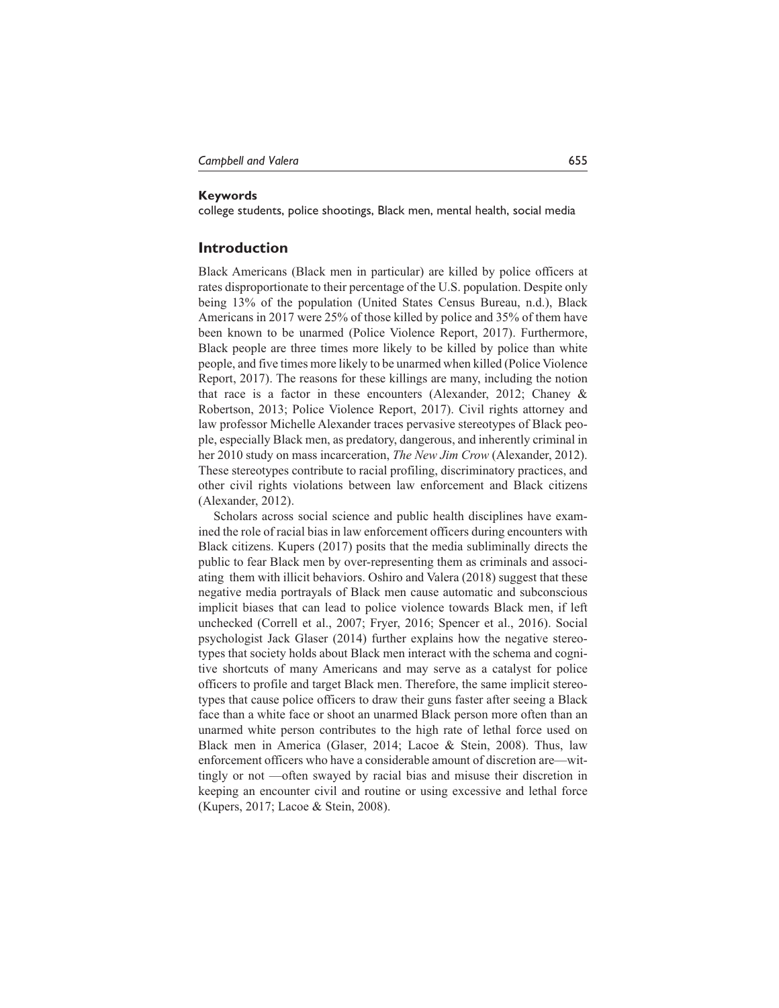### **Keywords**

college students, police shootings, Black men, mental health, social media

## **Introduction**

Black Americans (Black men in particular) are killed by police officers at rates disproportionate to their percentage of the U.S. population. Despite only being 13% of the population (United States Census Bureau, n.d.), Black Americans in 2017 were 25% of those killed by police and 35% of them have been known to be unarmed (Police Violence Report, 2017). Furthermore, Black people are three times more likely to be killed by police than white people, and five times more likely to be unarmed when killed (Police Violence Report, 2017). The reasons for these killings are many, including the notion that race is a factor in these encounters (Alexander, 2012; Chaney & Robertson, 2013; Police Violence Report, 2017). Civil rights attorney and law professor Michelle Alexander traces pervasive stereotypes of Black people, especially Black men, as predatory, dangerous, and inherently criminal in her 2010 study on mass incarceration, *The New Jim Crow* (Alexander, 2012). These stereotypes contribute to racial profiling, discriminatory practices, and other civil rights violations between law enforcement and Black citizens (Alexander, 2012).

Scholars across social science and public health disciplines have examined the role of racial bias in law enforcement officers during encounters with Black citizens. Kupers (2017) posits that the media subliminally directs the public to fear Black men by over-representing them as criminals and associating them with illicit behaviors. Oshiro and Valera (2018) suggest that these negative media portrayals of Black men cause automatic and subconscious implicit biases that can lead to police violence towards Black men, if left unchecked (Correll et al., 2007; Fryer, 2016; Spencer et al., 2016). Social psychologist Jack Glaser (2014) further explains how the negative stereotypes that society holds about Black men interact with the schema and cognitive shortcuts of many Americans and may serve as a catalyst for police officers to profile and target Black men. Therefore, the same implicit stereotypes that cause police officers to draw their guns faster after seeing a Black face than a white face or shoot an unarmed Black person more often than an unarmed white person contributes to the high rate of lethal force used on Black men in America (Glaser, 2014; Lacoe & Stein, 2008). Thus, law enforcement officers who have a considerable amount of discretion are—wittingly or not —often swayed by racial bias and misuse their discretion in keeping an encounter civil and routine or using excessive and lethal force (Kupers, 2017; Lacoe & Stein, 2008).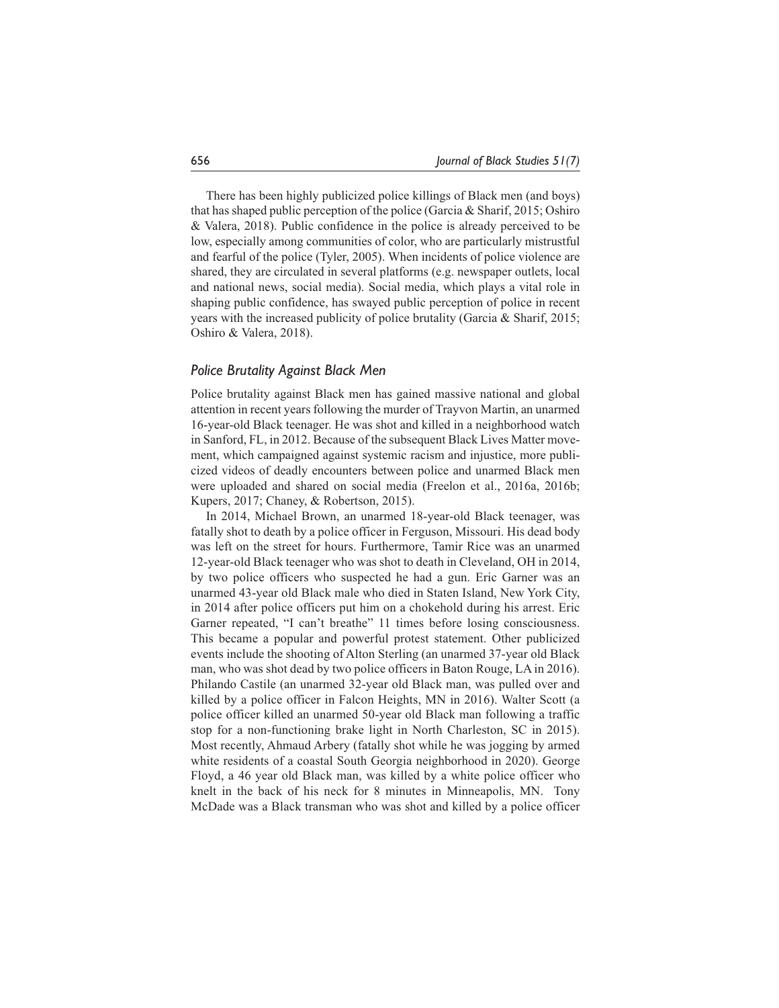There has been highly publicized police killings of Black men (and boys) that has shaped public perception of the police (Garcia & Sharif, 2015; Oshiro & Valera, 2018). Public confidence in the police is already perceived to be low, especially among communities of color, who are particularly mistrustful and fearful of the police (Tyler, 2005). When incidents of police violence are shared, they are circulated in several platforms (e.g. newspaper outlets, local and national news, social media). Social media, which plays a vital role in shaping public confidence, has swayed public perception of police in recent years with the increased publicity of police brutality (Garcia & Sharif, 2015; Oshiro & Valera, 2018).

## *Police Brutality Against Black Men*

Police brutality against Black men has gained massive national and global attention in recent years following the murder of Trayvon Martin, an unarmed 16-year-old Black teenager. He was shot and killed in a neighborhood watch in Sanford, FL, in 2012. Because of the subsequent Black Lives Matter movement, which campaigned against systemic racism and injustice, more publicized videos of deadly encounters between police and unarmed Black men were uploaded and shared on social media (Freelon et al., 2016a, 2016b; Kupers, 2017; Chaney, & Robertson, 2015).

In 2014, Michael Brown, an unarmed 18-year-old Black teenager, was fatally shot to death by a police officer in Ferguson, Missouri. His dead body was left on the street for hours. Furthermore, Tamir Rice was an unarmed 12-year-old Black teenager who was shot to death in Cleveland, OH in 2014, by two police officers who suspected he had a gun. Eric Garner was an unarmed 43-year old Black male who died in Staten Island, New York City, in 2014 after police officers put him on a chokehold during his arrest. Eric Garner repeated, "I can't breathe" 11 times before losing consciousness. This became a popular and powerful protest statement. Other publicized events include the shooting of Alton Sterling (an unarmed 37-year old Black man, who was shot dead by two police officers in Baton Rouge, LA in 2016). Philando Castile (an unarmed 32-year old Black man, was pulled over and killed by a police officer in Falcon Heights, MN in 2016). Walter Scott (a police officer killed an unarmed 50-year old Black man following a traffic stop for a non-functioning brake light in North Charleston, SC in 2015). Most recently, Ahmaud Arbery (fatally shot while he was jogging by armed white residents of a coastal South Georgia neighborhood in 2020). George Floyd, a 46 year old Black man, was killed by a white police officer who knelt in the back of his neck for 8 minutes in Minneapolis, MN. Tony McDade was a Black transman who was shot and killed by a police officer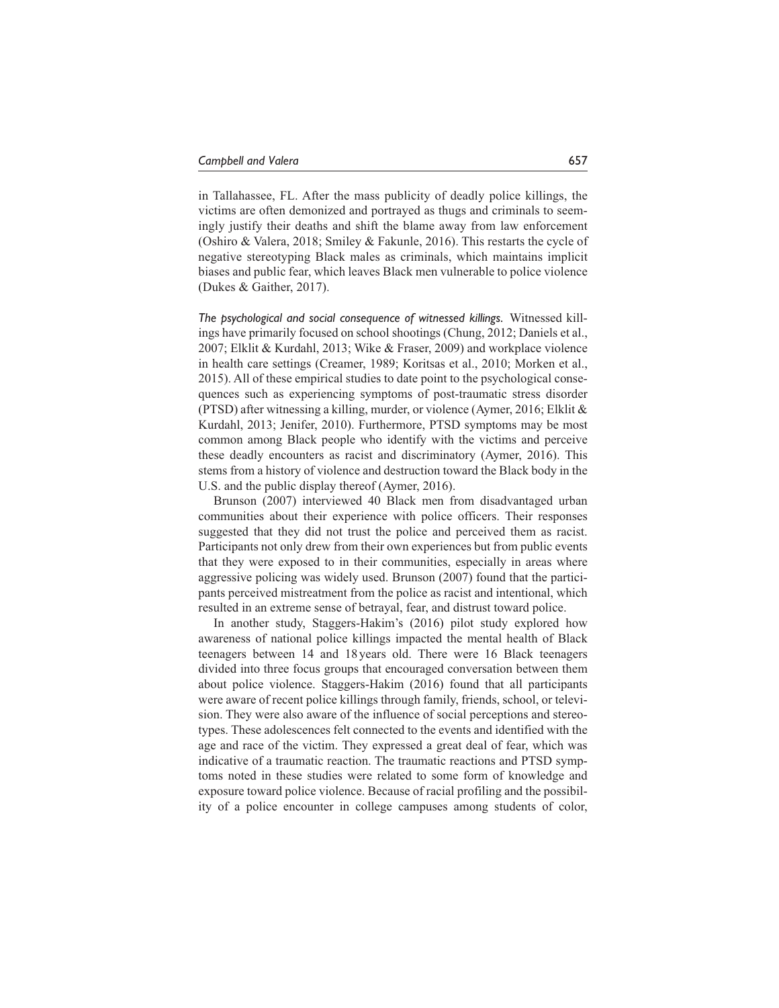in Tallahassee, FL. After the mass publicity of deadly police killings, the victims are often demonized and portrayed as thugs and criminals to seemingly justify their deaths and shift the blame away from law enforcement (Oshiro & Valera, 2018; Smiley & Fakunle, 2016). This restarts the cycle of negative stereotyping Black males as criminals, which maintains implicit biases and public fear, which leaves Black men vulnerable to police violence (Dukes & Gaither, 2017).

*The psychological and social consequence of witnessed killings.* Witnessed killings have primarily focused on school shootings (Chung, 2012; Daniels et al., 2007; Elklit & Kurdahl, 2013; Wike & Fraser, 2009) and workplace violence in health care settings (Creamer, 1989; Koritsas et al., 2010; Morken et al., 2015). All of these empirical studies to date point to the psychological consequences such as experiencing symptoms of post-traumatic stress disorder (PTSD) after witnessing a killing, murder, or violence (Aymer, 2016; Elklit & Kurdahl, 2013; Jenifer, 2010). Furthermore, PTSD symptoms may be most common among Black people who identify with the victims and perceive these deadly encounters as racist and discriminatory (Aymer, 2016). This stems from a history of violence and destruction toward the Black body in the U.S. and the public display thereof (Aymer, 2016).

Brunson (2007) interviewed 40 Black men from disadvantaged urban communities about their experience with police officers. Their responses suggested that they did not trust the police and perceived them as racist. Participants not only drew from their own experiences but from public events that they were exposed to in their communities, especially in areas where aggressive policing was widely used. Brunson (2007) found that the participants perceived mistreatment from the police as racist and intentional, which resulted in an extreme sense of betrayal, fear, and distrust toward police.

In another study, Staggers-Hakim's (2016) pilot study explored how awareness of national police killings impacted the mental health of Black teenagers between 14 and 18 years old. There were 16 Black teenagers divided into three focus groups that encouraged conversation between them about police violence. Staggers-Hakim (2016) found that all participants were aware of recent police killings through family, friends, school, or television. They were also aware of the influence of social perceptions and stereotypes. These adolescences felt connected to the events and identified with the age and race of the victim. They expressed a great deal of fear, which was indicative of a traumatic reaction. The traumatic reactions and PTSD symptoms noted in these studies were related to some form of knowledge and exposure toward police violence. Because of racial profiling and the possibility of a police encounter in college campuses among students of color,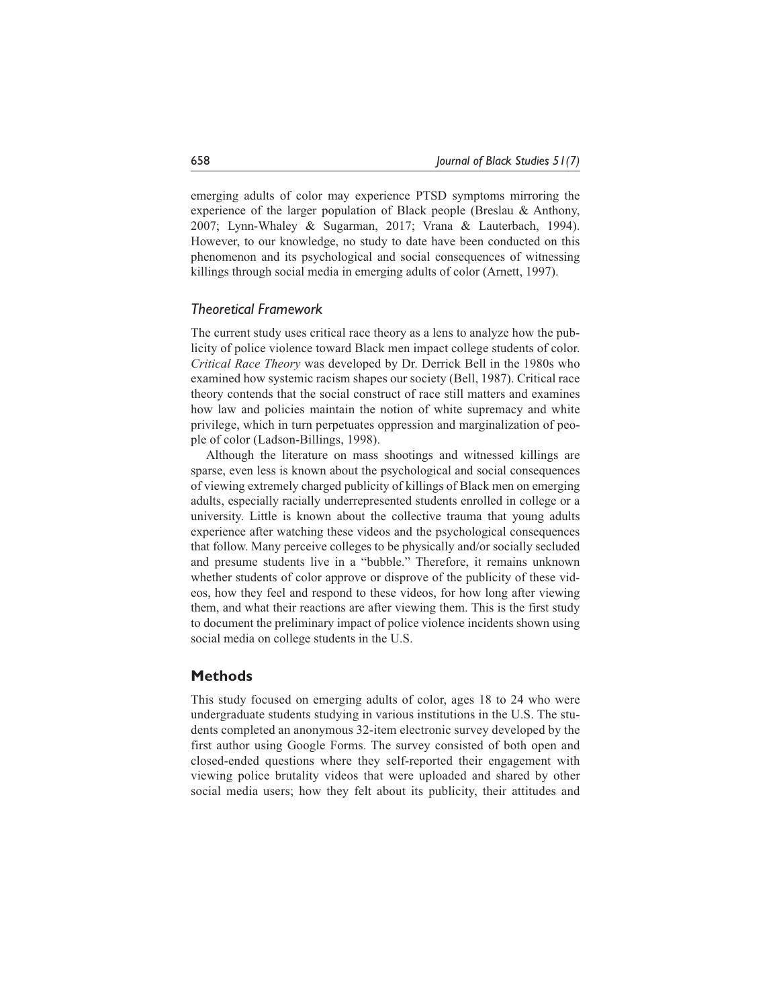emerging adults of color may experience PTSD symptoms mirroring the experience of the larger population of Black people (Breslau & Anthony, 2007; Lynn-Whaley & Sugarman, 2017; Vrana & Lauterbach, 1994). However, to our knowledge, no study to date have been conducted on this phenomenon and its psychological and social consequences of witnessing killings through social media in emerging adults of color (Arnett, 1997).

### *Theoretical Framework*

The current study uses critical race theory as a lens to analyze how the publicity of police violence toward Black men impact college students of color. *Critical Race Theory* was developed by Dr. Derrick Bell in the 1980s who examined how systemic racism shapes our society (Bell, 1987). Critical race theory contends that the social construct of race still matters and examines how law and policies maintain the notion of white supremacy and white privilege, which in turn perpetuates oppression and marginalization of people of color (Ladson-Billings, 1998).

Although the literature on mass shootings and witnessed killings are sparse, even less is known about the psychological and social consequences of viewing extremely charged publicity of killings of Black men on emerging adults, especially racially underrepresented students enrolled in college or a university. Little is known about the collective trauma that young adults experience after watching these videos and the psychological consequences that follow. Many perceive colleges to be physically and/or socially secluded and presume students live in a "bubble." Therefore, it remains unknown whether students of color approve or disprove of the publicity of these videos, how they feel and respond to these videos, for how long after viewing them, and what their reactions are after viewing them. This is the first study to document the preliminary impact of police violence incidents shown using social media on college students in the U.S.

### **Methods**

This study focused on emerging adults of color, ages 18 to 24 who were undergraduate students studying in various institutions in the U.S. The students completed an anonymous 32-item electronic survey developed by the first author using Google Forms. The survey consisted of both open and closed-ended questions where they self-reported their engagement with viewing police brutality videos that were uploaded and shared by other social media users; how they felt about its publicity, their attitudes and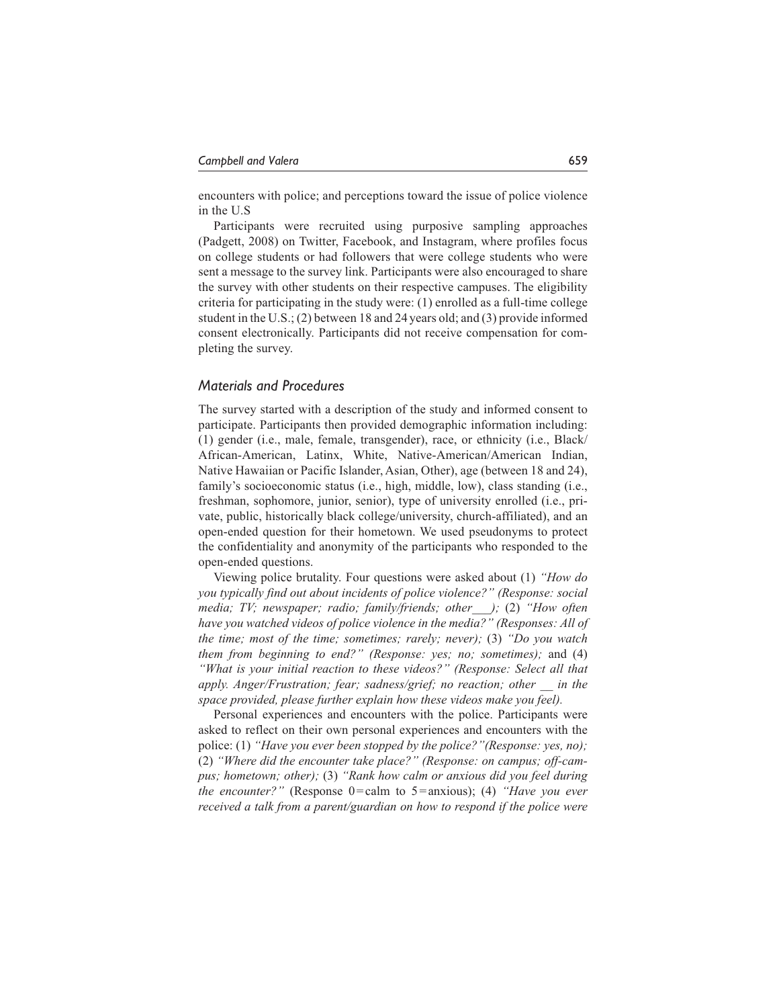encounters with police; and perceptions toward the issue of police violence in the U.S

Participants were recruited using purposive sampling approaches (Padgett, 2008) on Twitter, Facebook, and Instagram, where profiles focus on college students or had followers that were college students who were sent a message to the survey link. Participants were also encouraged to share the survey with other students on their respective campuses. The eligibility criteria for participating in the study were: (1) enrolled as a full-time college student in the U.S.; (2) between 18 and 24 years old; and (3) provide informed consent electronically. Participants did not receive compensation for completing the survey.

### *Materials and Procedures*

The survey started with a description of the study and informed consent to participate. Participants then provided demographic information including: (1) gender (i.e., male, female, transgender), race, or ethnicity (i.e., Black/ African-American, Latinx, White, Native-American/American Indian, Native Hawaiian or Pacific Islander, Asian, Other), age (between 18 and 24), family's socioeconomic status (i.e., high, middle, low), class standing (i.e., freshman, sophomore, junior, senior), type of university enrolled (i.e., private, public, historically black college/university, church-affiliated), and an open-ended question for their hometown. We used pseudonyms to protect the confidentiality and anonymity of the participants who responded to the open-ended questions.

Viewing police brutality. Four questions were asked about (1) *"How do you typically find out about incidents of police violence?" (Response: social media; TV; newspaper; radio; family/friends; other\_\_\_);* (2) *"How often have you watched videos of police violence in the media?" (Responses: All of the time; most of the time; sometimes; rarely; never);* (3) *"Do you watch them from beginning to end?" (Response: yes; no; sometimes);* and (4) *"What is your initial reaction to these videos?" (Response: Select all that apply. Anger/Frustration; fear; sadness/grief; no reaction; other \_\_ in the space provided, please further explain how these videos make you feel).*

Personal experiences and encounters with the police. Participants were asked to reflect on their own personal experiences and encounters with the police: (1) *"Have you ever been stopped by the police?"(Response: yes, no);* (2) *"Where did the encounter take place?" (Response: on campus; off-campus; hometown; other);* (3) *"Rank how calm or anxious did you feel during the encounter?"* (Response 0=calm to 5=anxious); (4) *"Have you ever received a talk from a parent/guardian on how to respond if the police were*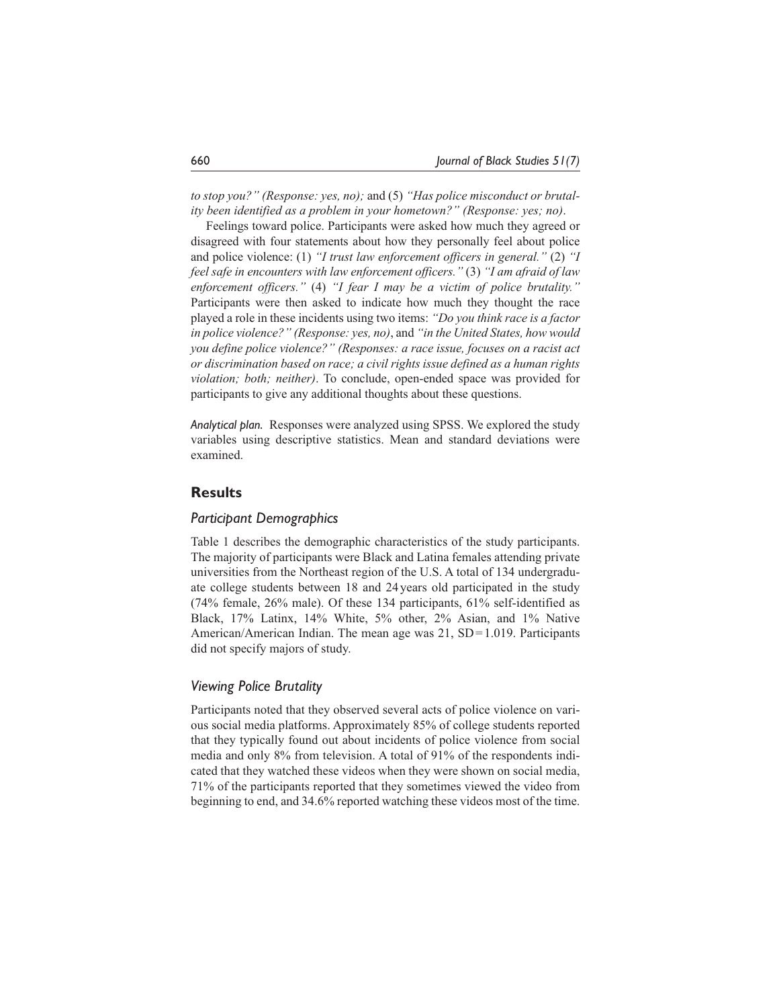*to stop you?" (Response: yes, no);* and (5) *"Has police misconduct or brutality been identified as a problem in your hometown?" (Response: yes; no)*.

Feelings toward police. Participants were asked how much they agreed or disagreed with four statements about how they personally feel about police and police violence: (1) *"I trust law enforcement officers in general."* (2) *"I feel safe in encounters with law enforcement officers."* (3) *"I am afraid of law enforcement officers."* (4) *"I fear I may be a victim of police brutality."* Participants were then asked to indicate how much they thought the race played a role in these incidents using two items: *"Do you think race is a factor in police violence?" (Response: yes, no)*, and *"in the United States, how would you define police violence?" (Responses: a race issue, focuses on a racist act or discrimination based on race; a civil rights issue defined as a human rights violation; both; neither)*. To conclude, open-ended space was provided for participants to give any additional thoughts about these questions.

*Analytical plan.* Responses were analyzed using SPSS. We explored the study variables using descriptive statistics. Mean and standard deviations were examined.

## **Results**

## *Participant Demographics*

Table 1 describes the demographic characteristics of the study participants. The majority of participants were Black and Latina females attending private universities from the Northeast region of the U.S. A total of 134 undergraduate college students between 18 and 24years old participated in the study (74% female, 26% male). Of these 134 participants, 61% self-identified as Black, 17% Latinx, 14% White, 5% other, 2% Asian, and 1% Native American/American Indian. The mean age was 21, SD=1.019. Participants did not specify majors of study.

## *Viewing Police Brutality*

Participants noted that they observed several acts of police violence on various social media platforms. Approximately 85% of college students reported that they typically found out about incidents of police violence from social media and only 8% from television. A total of 91% of the respondents indicated that they watched these videos when they were shown on social media, 71% of the participants reported that they sometimes viewed the video from beginning to end, and 34.6% reported watching these videos most of the time.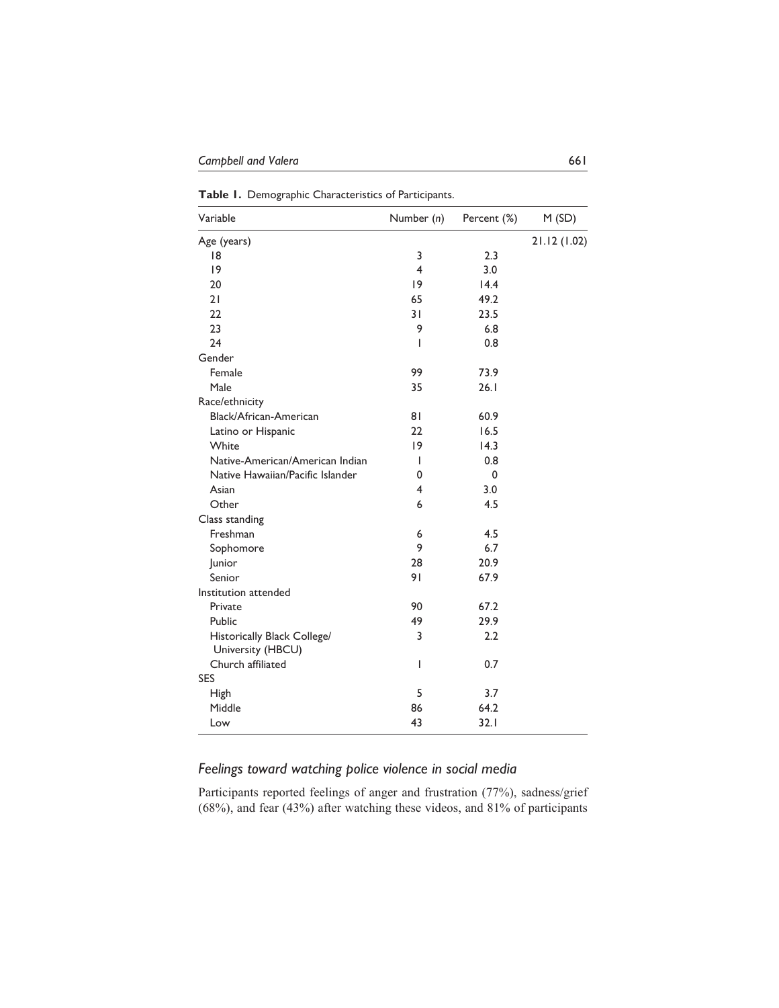**Table 1.** Demographic Characteristics of Participants.

| Variable                                         | Number (n)     | Percent (%) | M(SD)        |
|--------------------------------------------------|----------------|-------------|--------------|
| Age (years)                                      |                |             | 21.12 (1.02) |
| 18                                               | 3              | 2.3         |              |
| 9                                                | $\overline{4}$ | 3.0         |              |
| 20                                               | 9              | 14.4        |              |
| 21                                               | 65             | 49.2        |              |
| 22                                               | 31             | 23.5        |              |
| 23                                               | 9              | 6.8         |              |
| 24                                               | I              | 0.8         |              |
| Gender                                           |                |             |              |
| Female                                           | 99             | 73.9        |              |
| Male                                             | 35             | 26.1        |              |
| Race/ethnicity                                   |                |             |              |
| Black/African-American                           | 81             | 60.9        |              |
| Latino or Hispanic                               | 22             | 16.5        |              |
| White                                            | 9              | 14.3        |              |
| Native-American/American Indian                  | ı              | 0.8         |              |
| Native Hawaiian/Pacific Islander                 | 0              | 0           |              |
| Asian                                            | $\overline{4}$ | 3.0         |              |
| Other                                            | 6              | 4.5         |              |
| Class standing                                   |                |             |              |
| Freshman                                         | 6              | 4.5         |              |
| Sophomore                                        | 9              | 6.7         |              |
| Junior                                           | 28             | 20.9        |              |
| Senior                                           | 91             | 67.9        |              |
| Institution attended                             |                |             |              |
| Private                                          | 90             | 67.2        |              |
| Public                                           | 49             | 29.9        |              |
| Historically Black College/<br>University (HBCU) | 3              | 2.2         |              |
| Church affiliated                                | ı              | 0.7         |              |
| <b>SES</b>                                       |                |             |              |
| <b>High</b>                                      | 5              | 3.7         |              |
| Middle                                           | 86             | 64.2        |              |
| Low                                              | 43             | 32.1        |              |

# *Feelings toward watching police violence in social media*

Participants reported feelings of anger and frustration (77%), sadness/grief (68%), and fear (43%) after watching these videos, and 81% of participants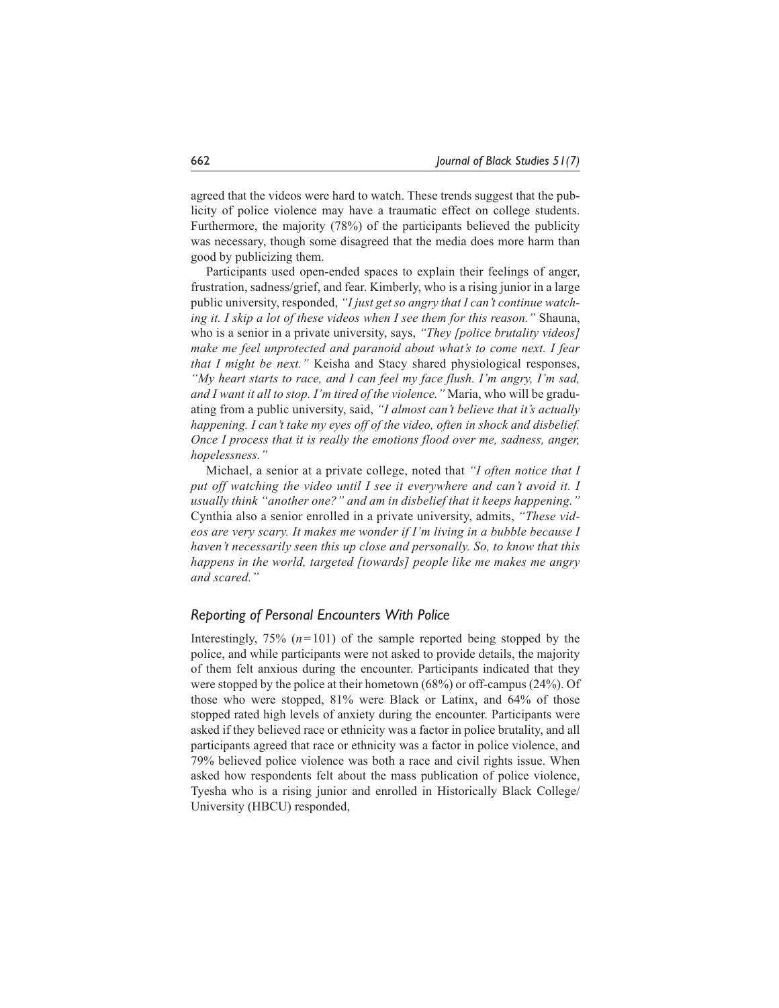agreed that the videos were hard to watch. These trends suggest that the publicity of police violence may have a traumatic effect on college students. Furthermore, the majority (78%) of the participants believed the publicity was necessary, though some disagreed that the media does more harm than good by publicizing them.

Participants used open-ended spaces to explain their feelings of anger, frustration, sadness/grief, and fear. Kimberly, who is a rising junior in a large public university, responded, *"I just get so angry that I can't continue watching it. I skip a lot of these videos when I see them for this reason."* Shauna, who is a senior in a private university, says, *"They [police brutality videos] make me feel unprotected and paranoid about what's to come next. I fear that I might be next."* Keisha and Stacy shared physiological responses, *"My heart starts to race, and I can feel my face flush. I'm angry, I'm sad, and I want it all to stop. I'm tired of the violence."* Maria, who will be graduating from a public university, said, *"I almost can't believe that it's actually happening. I can't take my eyes off of the video, often in shock and disbelief. Once I process that it is really the emotions flood over me, sadness, anger, hopelessness."*

Michael, a senior at a private college, noted that *"I often notice that I put off watching the video until I see it everywhere and can't avoid it. I usually think "another one?" and am in disbelief that it keeps happening."* Cynthia also a senior enrolled in a private university, admits, *"These videos are very scary. It makes me wonder if I'm living in a bubble because I haven't necessarily seen this up close and personally. So, to know that this happens in the world, targeted [towards] people like me makes me angry and scared."*

### *Reporting of Personal Encounters With Police*

Interestingly,  $75\%$  ( $n=101$ ) of the sample reported being stopped by the police, and while participants were not asked to provide details, the majority of them felt anxious during the encounter. Participants indicated that they were stopped by the police at their hometown (68%) or off-campus (24%). Of those who were stopped, 81% were Black or Latinx, and 64% of those stopped rated high levels of anxiety during the encounter. Participants were asked if they believed race or ethnicity was a factor in police brutality, and all participants agreed that race or ethnicity was a factor in police violence, and 79% believed police violence was both a race and civil rights issue. When asked how respondents felt about the mass publication of police violence, Tyesha who is a rising junior and enrolled in Historically Black College/ University (HBCU) responded,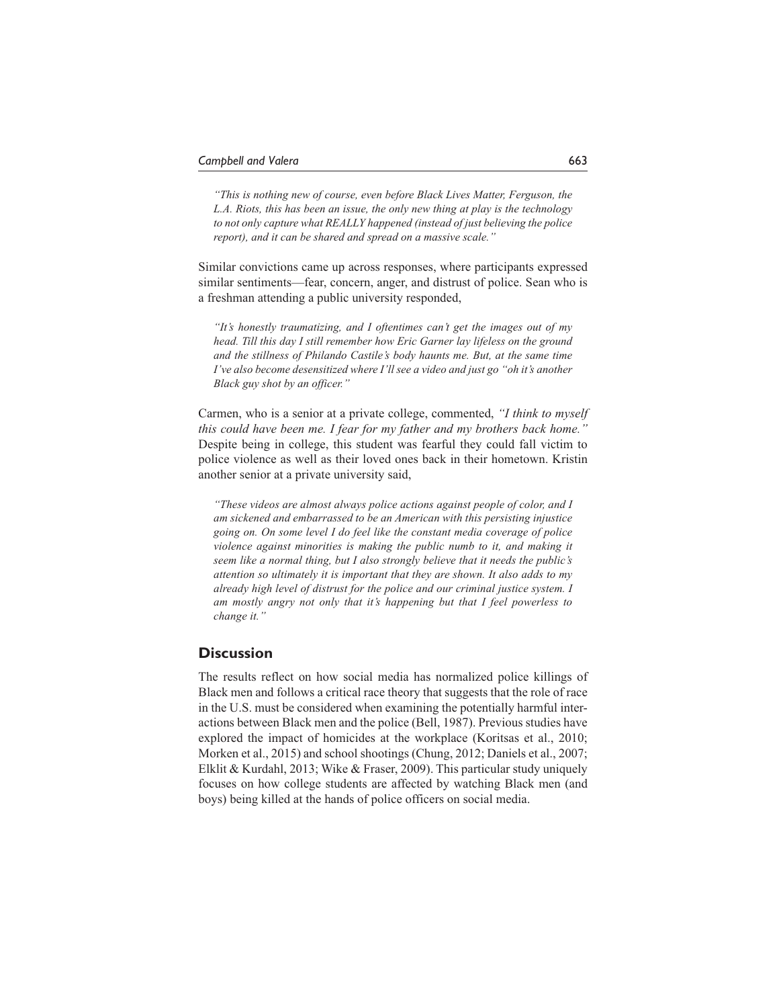*"This is nothing new of course, even before Black Lives Matter, Ferguson, the L.A. Riots, this has been an issue, the only new thing at play is the technology to not only capture what REALLY happened (instead of just believing the police report), and it can be shared and spread on a massive scale."*

Similar convictions came up across responses, where participants expressed similar sentiments—fear, concern, anger, and distrust of police. Sean who is a freshman attending a public university responded,

*"It's honestly traumatizing, and I oftentimes can't get the images out of my head. Till this day I still remember how Eric Garner lay lifeless on the ground and the stillness of Philando Castile's body haunts me. But, at the same time I've also become desensitized where I'll see a video and just go "oh it's another Black guy shot by an officer."*

Carmen, who is a senior at a private college, commented, *"I think to myself this could have been me. I fear for my father and my brothers back home."* Despite being in college, this student was fearful they could fall victim to police violence as well as their loved ones back in their hometown. Kristin another senior at a private university said,

*"These videos are almost always police actions against people of color, and I am sickened and embarrassed to be an American with this persisting injustice going on. On some level I do feel like the constant media coverage of police violence against minorities is making the public numb to it, and making it seem like a normal thing, but I also strongly believe that it needs the public's attention so ultimately it is important that they are shown. It also adds to my already high level of distrust for the police and our criminal justice system. I am mostly angry not only that it's happening but that I feel powerless to change it."*

# **Discussion**

The results reflect on how social media has normalized police killings of Black men and follows a critical race theory that suggests that the role of race in the U.S. must be considered when examining the potentially harmful interactions between Black men and the police (Bell, 1987). Previous studies have explored the impact of homicides at the workplace (Koritsas et al., 2010; Morken et al., 2015) and school shootings (Chung, 2012; Daniels et al., 2007; Elklit & Kurdahl, 2013; Wike & Fraser, 2009). This particular study uniquely focuses on how college students are affected by watching Black men (and boys) being killed at the hands of police officers on social media.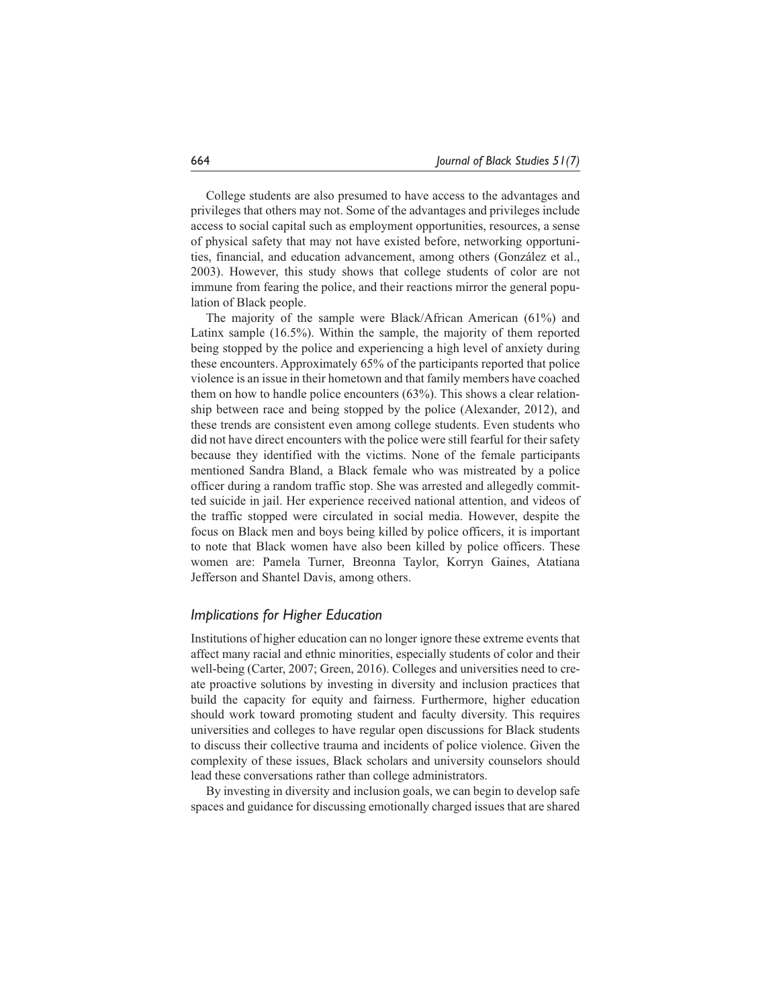College students are also presumed to have access to the advantages and privileges that others may not. Some of the advantages and privileges include access to social capital such as employment opportunities, resources, a sense of physical safety that may not have existed before, networking opportunities, financial, and education advancement, among others (González et al., 2003). However, this study shows that college students of color are not immune from fearing the police, and their reactions mirror the general population of Black people.

The majority of the sample were Black/African American (61%) and Latinx sample (16.5%). Within the sample, the majority of them reported being stopped by the police and experiencing a high level of anxiety during these encounters. Approximately 65% of the participants reported that police violence is an issue in their hometown and that family members have coached them on how to handle police encounters (63%). This shows a clear relationship between race and being stopped by the police (Alexander, 2012), and these trends are consistent even among college students. Even students who did not have direct encounters with the police were still fearful for their safety because they identified with the victims. None of the female participants mentioned Sandra Bland, a Black female who was mistreated by a police officer during a random traffic stop. She was arrested and allegedly committed suicide in jail. Her experience received national attention, and videos of the traffic stopped were circulated in social media. However, despite the focus on Black men and boys being killed by police officers, it is important to note that Black women have also been killed by police officers. These women are: Pamela Turner, Breonna Taylor, Korryn Gaines, Atatiana Jefferson and Shantel Davis, among others.

## *Implications for Higher Education*

Institutions of higher education can no longer ignore these extreme events that affect many racial and ethnic minorities, especially students of color and their well-being (Carter, 2007; Green, 2016). Colleges and universities need to create proactive solutions by investing in diversity and inclusion practices that build the capacity for equity and fairness. Furthermore, higher education should work toward promoting student and faculty diversity. This requires universities and colleges to have regular open discussions for Black students to discuss their collective trauma and incidents of police violence. Given the complexity of these issues, Black scholars and university counselors should lead these conversations rather than college administrators.

By investing in diversity and inclusion goals, we can begin to develop safe spaces and guidance for discussing emotionally charged issues that are shared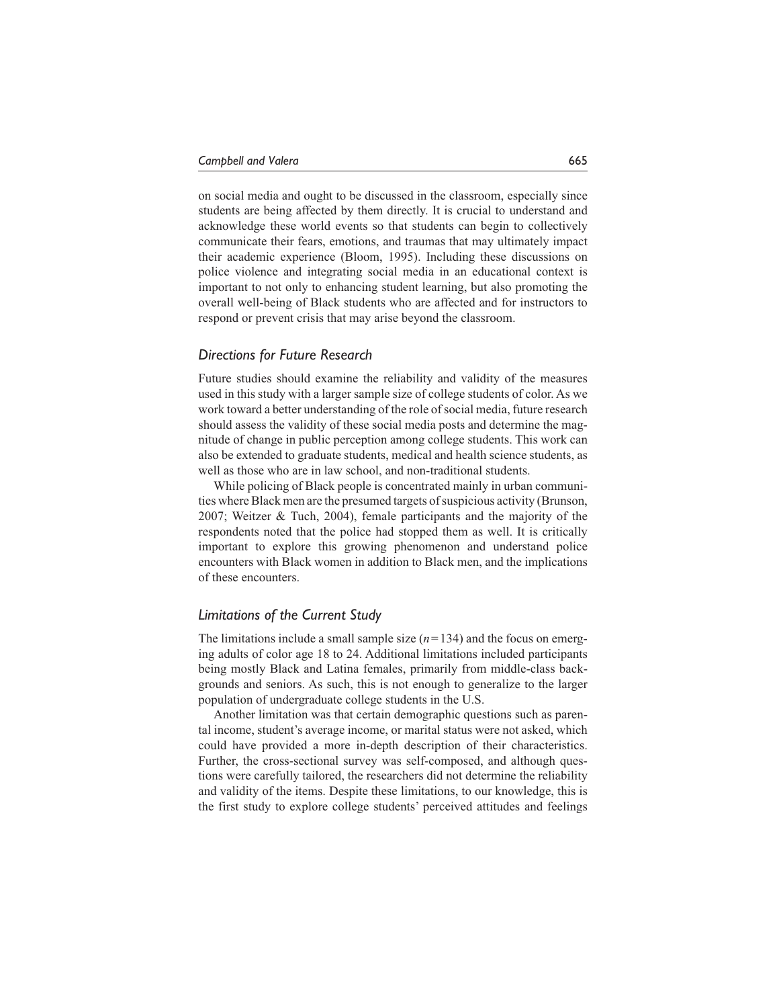on social media and ought to be discussed in the classroom, especially since students are being affected by them directly. It is crucial to understand and acknowledge these world events so that students can begin to collectively communicate their fears, emotions, and traumas that may ultimately impact their academic experience (Bloom, 1995). Including these discussions on police violence and integrating social media in an educational context is important to not only to enhancing student learning, but also promoting the overall well-being of Black students who are affected and for instructors to respond or prevent crisis that may arise beyond the classroom.

### *Directions for Future Research*

Future studies should examine the reliability and validity of the measures used in this study with a larger sample size of college students of color. As we work toward a better understanding of the role of social media, future research should assess the validity of these social media posts and determine the magnitude of change in public perception among college students. This work can also be extended to graduate students, medical and health science students, as well as those who are in law school, and non-traditional students.

While policing of Black people is concentrated mainly in urban communities where Black men are the presumed targets of suspicious activity (Brunson, 2007; Weitzer & Tuch, 2004), female participants and the majority of the respondents noted that the police had stopped them as well. It is critically important to explore this growing phenomenon and understand police encounters with Black women in addition to Black men, and the implications of these encounters.

## *Limitations of the Current Study*

The limitations include a small sample size  $(n=134)$  and the focus on emerging adults of color age 18 to 24. Additional limitations included participants being mostly Black and Latina females, primarily from middle-class backgrounds and seniors. As such, this is not enough to generalize to the larger population of undergraduate college students in the U.S.

Another limitation was that certain demographic questions such as parental income, student's average income, or marital status were not asked, which could have provided a more in-depth description of their characteristics. Further, the cross-sectional survey was self-composed, and although questions were carefully tailored, the researchers did not determine the reliability and validity of the items. Despite these limitations, to our knowledge, this is the first study to explore college students' perceived attitudes and feelings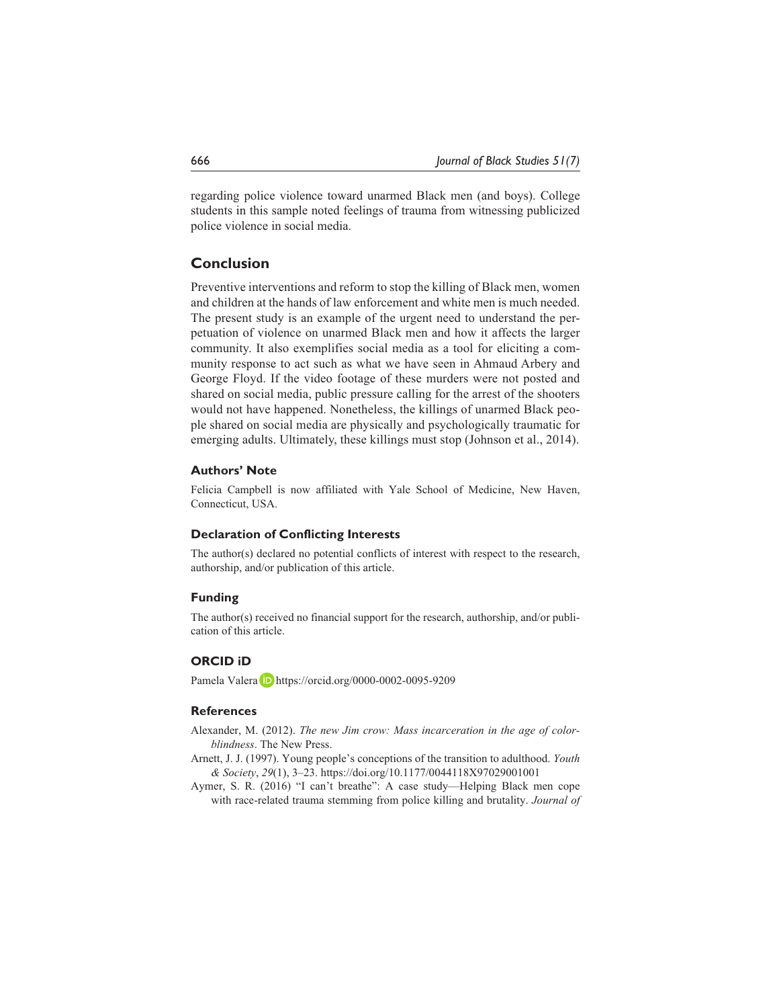regarding police violence toward unarmed Black men (and boys). College students in this sample noted feelings of trauma from witnessing publicized police violence in social media.

# **Conclusion**

Preventive interventions and reform to stop the killing of Black men, women and children at the hands of law enforcement and white men is much needed. The present study is an example of the urgent need to understand the perpetuation of violence on unarmed Black men and how it affects the larger community. It also exemplifies social media as a tool for eliciting a community response to act such as what we have seen in Ahmaud Arbery and George Floyd. If the video footage of these murders were not posted and shared on social media, public pressure calling for the arrest of the shooters would not have happened. Nonetheless, the killings of unarmed Black people shared on social media are physically and psychologically traumatic for emerging adults. Ultimately, these killings must stop (Johnson et al., 2014).

### **Authors' Note**

Felicia Campbell is now affiliated with Yale School of Medicine, New Haven, Connecticut, USA.

### **Declaration of Conflicting Interests**

The author(s) declared no potential conflicts of interest with respect to the research, authorship, and/or publication of this article.

### **Funding**

The author(s) received no financial support for the research, authorship, and/or publication of this article.

### **ORCID iD**

Pamela Valera D <https://orcid.org/0000-0002-0095-9209>

## **References**

- Alexander, M. (2012). *The new Jim crow: Mass incarceration in the age of colorblindness*. The New Press.
- Arnett, J. J. (1997). Young people's conceptions of the transition to adulthood. *Youth & Society*, *29*(1), 3–23.<https://doi.org/10.1177/0044118X97029001001>
- Aymer, S. R. (2016) "I can't breathe": A case study—Helping Black men cope with race-related trauma stemming from police killing and brutality. *Journal of*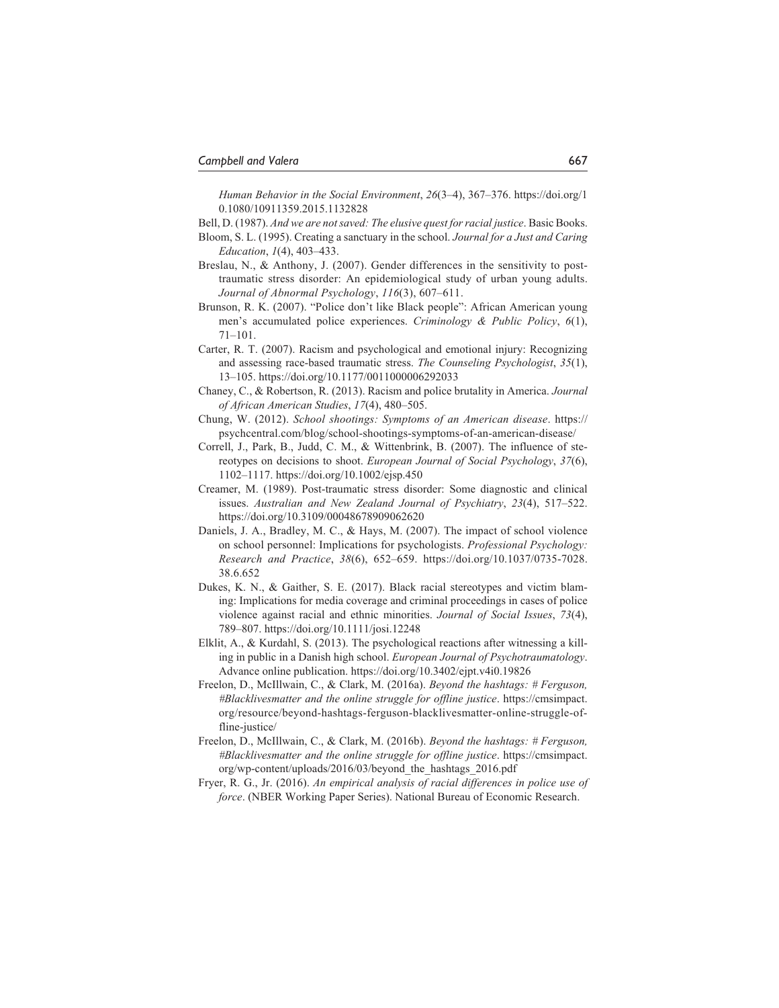*Human Behavior in the Social Environment*, *26*(3–4), 367–376. [https://doi.org/1](https://doi.org/10.1080/10911359.2015.1132828) [0.1080/10911359.2015.1132828](https://doi.org/10.1080/10911359.2015.1132828)

Bell, D. (1987). *And we are not saved: The elusive quest for racial justice*. Basic Books.

- Bloom, S. L. (1995). Creating a sanctuary in the school. *Journal for a Just and Caring Education*, *1*(4), 403–433.
- Breslau, N., & Anthony, J. (2007). Gender differences in the sensitivity to posttraumatic stress disorder: An epidemiological study of urban young adults. *Journal of Abnormal Psychology*, *116*(3), 607–611.
- Brunson, R. K. (2007). "Police don't like Black people": African American young men's accumulated police experiences. *Criminology & Public Policy*, *6*(1), 71–101.
- Carter, R. T. (2007). Racism and psychological and emotional injury: Recognizing and assessing race-based traumatic stress. *The Counseling Psychologist*, *35*(1), 13–105. <https://doi.org/10.1177/0011000006292033>
- Chaney, C., & Robertson, R. (2013). Racism and police brutality in America. *Journal of African American Studies*, *17*(4), 480–505.
- Chung, W. (2012). *School shootings: Symptoms of an American disease*. [https://](https://psychcentral.com/blog/school-shootings-symptoms-of-an-american-disease/) [psychcentral.com/blog/school-shootings-symptoms-of-an-american-disease/](https://psychcentral.com/blog/school-shootings-symptoms-of-an-american-disease/)
- Correll, J., Park, B., Judd, C. M., & Wittenbrink, B. (2007). The influence of stereotypes on decisions to shoot. *European Journal of Social Psychology*, *37*(6), 1102–1117. <https://doi.org/10.1002/ejsp.450>
- Creamer, M. (1989). Post-traumatic stress disorder: Some diagnostic and clinical issues. *Australian and New Zealand Journal of Psychiatry*, *23*(4), 517–522. <https://doi.org/10.3109/00048678909062620>
- Daniels, J. A., Bradley, M. C., & Hays, M. (2007). The impact of school violence on school personnel: Implications for psychologists. *Professional Psychology: Research and Practice*, *38*(6), 652–659. [https://doi.org/10.1037/0735-7028.](https://doi.org/10.1037/0735-7028.38.6.652) [38.6.652](https://doi.org/10.1037/0735-7028.38.6.652)
- Dukes, K. N., & Gaither, S. E. (2017). Black racial stereotypes and victim blaming: Implications for media coverage and criminal proceedings in cases of police violence against racial and ethnic minorities. *Journal of Social Issues*, *73*(4), 789–807. <https://doi.org/10.1111/josi.12248>
- Elklit, A., & Kurdahl, S. (2013). The psychological reactions after witnessing a killing in public in a Danish high school. *European Journal of Psychotraumatology*. Advance online publication. <https://doi.org/10.3402/ejpt.v4i0.19826>
- Freelon, D., McIllwain, C., & Clark, M. (2016a). *Beyond the hashtags: # Ferguson, #Blacklivesmatter and the online struggle for offline justice*. [https://cmsimpact.](https://cmsimpact.org/resource/beyond-hashtags-ferguson-blacklivesmatter-online-struggle-offline-justice/) [org/resource/beyond-hashtags-ferguson-blacklivesmatter-online-struggle-of](https://cmsimpact.org/resource/beyond-hashtags-ferguson-blacklivesmatter-online-struggle-offline-justice/)[fline-justice/](https://cmsimpact.org/resource/beyond-hashtags-ferguson-blacklivesmatter-online-struggle-offline-justice/)
- Freelon, D., McIllwain, C., & Clark, M. (2016b). *Beyond the hashtags: # Ferguson, #Blacklivesmatter and the online struggle for offline justice*. [https://cmsimpact.](https://cmsimpact.org/wp-content/uploads/2016/03/beyond_the_hashtags_2016.pdf) [org/wp-content/uploads/2016/03/beyond\\_the\\_hashtags\\_2016.pdf](https://cmsimpact.org/wp-content/uploads/2016/03/beyond_the_hashtags_2016.pdf)
- Fryer, R. G., Jr. (2016). *An empirical analysis of racial differences in police use of force*. (NBER Working Paper Series). National Bureau of Economic Research.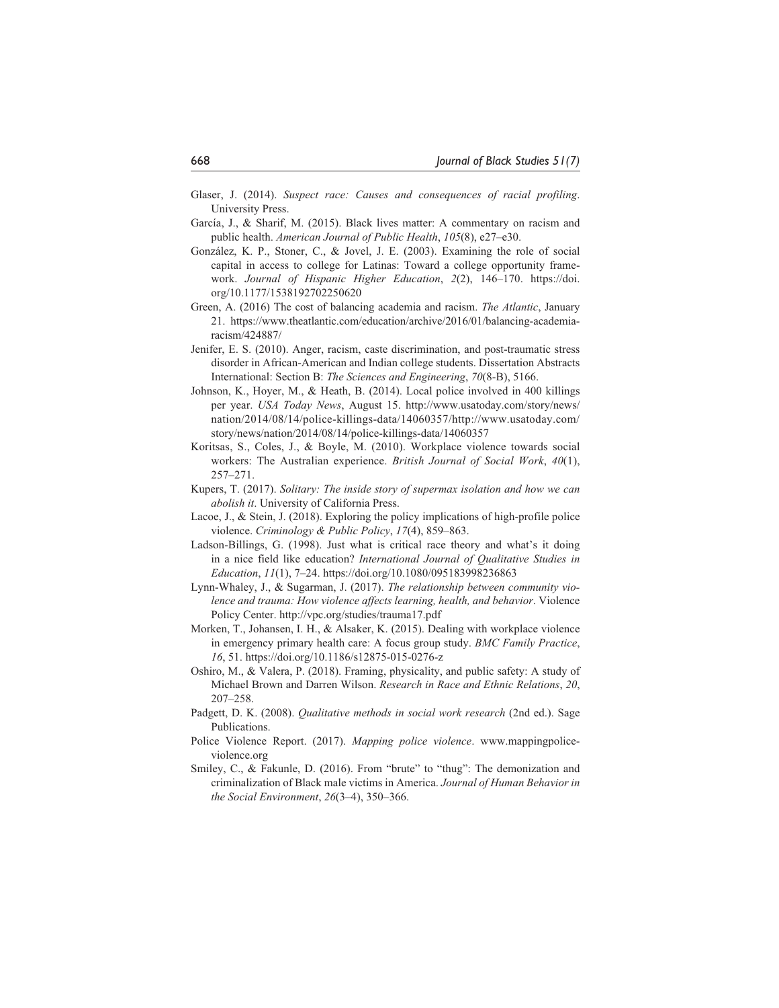- Glaser, J. (2014). *Suspect race: Causes and consequences of racial profiling*. University Press.
- García, J., & Sharif, M. (2015). Black lives matter: A commentary on racism and public health. *American Journal of Public Health*, *105*(8), e27–e30.
- González, K. P., Stoner, C., & Jovel, J. E. (2003). Examining the role of social capital in access to college for Latinas: Toward a college opportunity framework. *Journal of Hispanic Higher Education*, *2*(2), 146–170. [https://doi.](https://doi.org/10.1177/1538192702250620) [org/10.1177/1538192702250620](https://doi.org/10.1177/1538192702250620)
- Green, A. (2016) The cost of balancing academia and racism. *The Atlantic*, January 21. [https://www.theatlantic.com/education/archive/2016/01/balancing-academia](https://www.theatlantic.com/education/archive/2016/01/balancing-academia-racism/424887/)[racism/424887/](https://www.theatlantic.com/education/archive/2016/01/balancing-academia-racism/424887/)
- Jenifer, E. S. (2010). Anger, racism, caste discrimination, and post-traumatic stress disorder in African-American and Indian college students. Dissertation Abstracts International: Section B: *The Sciences and Engineering*, *70*(8-B), 5166.
- Johnson, K., Hoyer, M., & Heath, B. (2014). Local police involved in 400 killings per year. *USA Today News*, August 15. [http://www.usatoday.com/story/news/](http://www.usatoday.com/story/news/nation/2014/08/14/police-killings-data/14060357/http://www.usatoday.com/story/news/nation/2014/08/14/police-killings-data/14060357) [nation/2014/08/14/police-killings-data/14060357/http://www.usatoday.com/](http://www.usatoday.com/story/news/nation/2014/08/14/police-killings-data/14060357/http://www.usatoday.com/story/news/nation/2014/08/14/police-killings-data/14060357) [story/news/nation/2014/08/14/police-killings-data/14060357](http://www.usatoday.com/story/news/nation/2014/08/14/police-killings-data/14060357/http://www.usatoday.com/story/news/nation/2014/08/14/police-killings-data/14060357)
- Koritsas, S., Coles, J., & Boyle, M. (2010). Workplace violence towards social workers: The Australian experience. *British Journal of Social Work*, *40*(1), 257–271.
- Kupers, T. (2017). *Solitary: The inside story of supermax isolation and how we can abolish it*. University of California Press.
- Lacoe, J., & Stein, J. (2018). Exploring the policy implications of high-profile police violence. *Criminology & Public Policy*, *17*(4), 859–863.
- Ladson-Billings, G. (1998). Just what is critical race theory and what's it doing in a nice field like education? *International Journal of Qualitative Studies in Education*, *11*(1), 7–24. <https://doi.org/10.1080/095183998236863>
- Lynn-Whaley, J., & Sugarman, J. (2017). *The relationship between community violence and trauma: How violence affects learning, health, and behavior*. Violence Policy Center. <http://vpc.org/studies/trauma17.pdf>
- Morken, T., Johansen, I. H., & Alsaker, K. (2015). Dealing with workplace violence in emergency primary health care: A focus group study. *BMC Family Practice*, *16*, 51. <https://doi.org/10.1186/s12875-015-0276-z>
- Oshiro, M., & Valera, P. (2018). Framing, physicality, and public safety: A study of Michael Brown and Darren Wilson. *Research in Race and Ethnic Relations*, *20*, 207–258.
- Padgett, D. K. (2008). *Qualitative methods in social work research* (2nd ed.). Sage Publications.
- Police Violence Report. (2017). *Mapping police violence*. [www.mappingpolice](www.mappingpoliceviolence.org)[violence.org](www.mappingpoliceviolence.org)
- Smiley, C., & Fakunle, D. (2016). From "brute" to "thug": The demonization and criminalization of Black male victims in America. *Journal of Human Behavior in the Social Environment*, *26*(3–4), 350–366.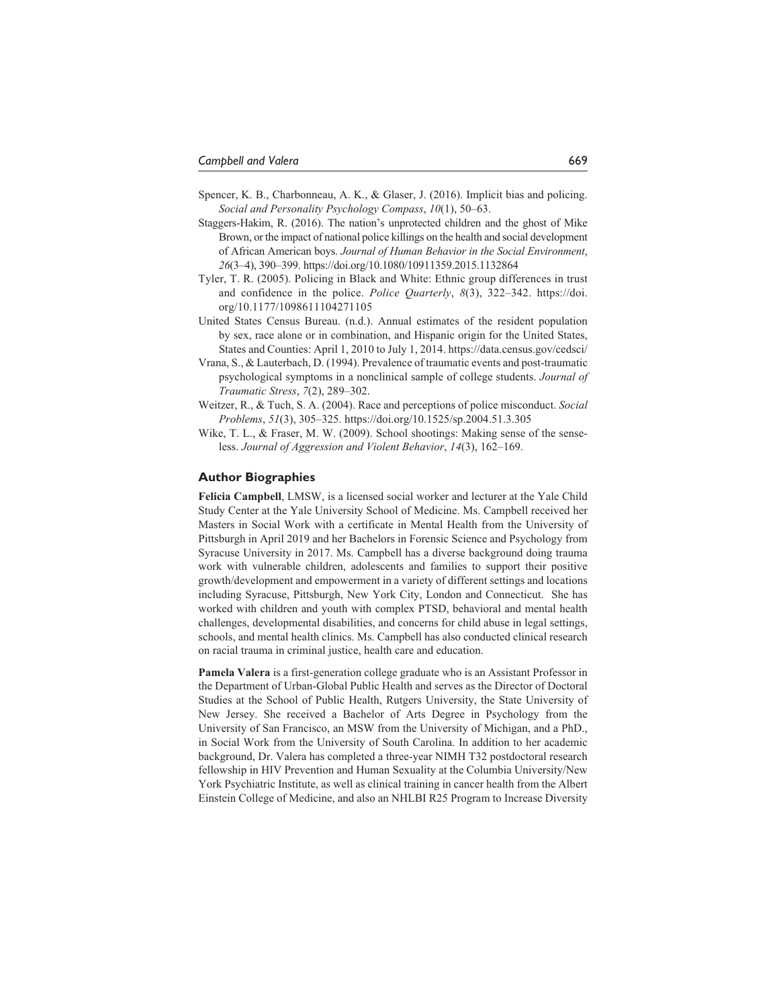- Spencer, K. B., Charbonneau, A. K., & Glaser, J. (2016). Implicit bias and policing. *Social and Personality Psychology Compass*, *10*(1), 50–63.
- Staggers-Hakim, R. (2016). The nation's unprotected children and the ghost of Mike Brown, or the impact of national police killings on the health and social development of African American boys. *Journal of Human Behavior in the Social Environment*, *26*(3–4), 390–399. <https://doi.org/10.1080/10911359.2015.1132864>
- Tyler, T. R. (2005). Policing in Black and White: Ethnic group differences in trust and confidence in the police. *Police Quarterly*, *8*(3), 322–342. [https://doi.](https://doi.org/10.1177/1098611104271105) [org/10.1177/1098611104271105](https://doi.org/10.1177/1098611104271105)
- United States Census Bureau. (n.d.). Annual estimates of the resident population by sex, race alone or in combination, and Hispanic origin for the United States, States and Counties: April 1, 2010 to July 1, 2014. <https://data.census.gov/cedsci/>
- Vrana, S., & Lauterbach, D. (1994). Prevalence of traumatic events and post-traumatic psychological symptoms in a nonclinical sample of college students. *Journal of Traumatic Stress*, *7*(2), 289–302.
- Weitzer, R., & Tuch, S. A. (2004). Race and perceptions of police misconduct. *Social Problems*, *51*(3), 305–325. <https://doi.org/10.1525/sp.2004.51.3.305>
- Wike, T. L., & Fraser, M. W. (2009). School shootings: Making sense of the senseless. *Journal of Aggression and Violent Behavior*, *14*(3), 162–169.

#### **Author Biographies**

**Felicia Campbell**, LMSW, is a licensed social worker and lecturer at the Yale Child Study Center at the Yale University School of Medicine. Ms. Campbell received her Masters in Social Work with a certificate in Mental Health from the University of Pittsburgh in April 2019 and her Bachelors in Forensic Science and Psychology from Syracuse University in 2017. Ms. Campbell has a diverse background doing trauma work with vulnerable children, adolescents and families to support their positive growth/development and empowerment in a variety of different settings and locations including Syracuse, Pittsburgh, New York City, London and Connecticut. She has worked with children and youth with complex PTSD, behavioral and mental health challenges, developmental disabilities, and concerns for child abuse in legal settings, schools, and mental health clinics. Ms. Campbell has also conducted clinical research on racial trauma in criminal justice, health care and education.

**Pamela Valera** is a first-generation college graduate who is an Assistant Professor in the Department of Urban-Global Public Health and serves as the Director of Doctoral Studies at the School of Public Health, Rutgers University, the State University of New Jersey. She received a Bachelor of Arts Degree in Psychology from the University of San Francisco, an MSW from the University of Michigan, and a PhD., in Social Work from the University of South Carolina. In addition to her academic background, Dr. Valera has completed a three-year NIMH T32 postdoctoral research fellowship in HIV Prevention and Human Sexuality at the Columbia University/New York Psychiatric Institute, as well as clinical training in cancer health from the Albert Einstein College of Medicine, and also an NHLBI R25 Program to Increase Diversity